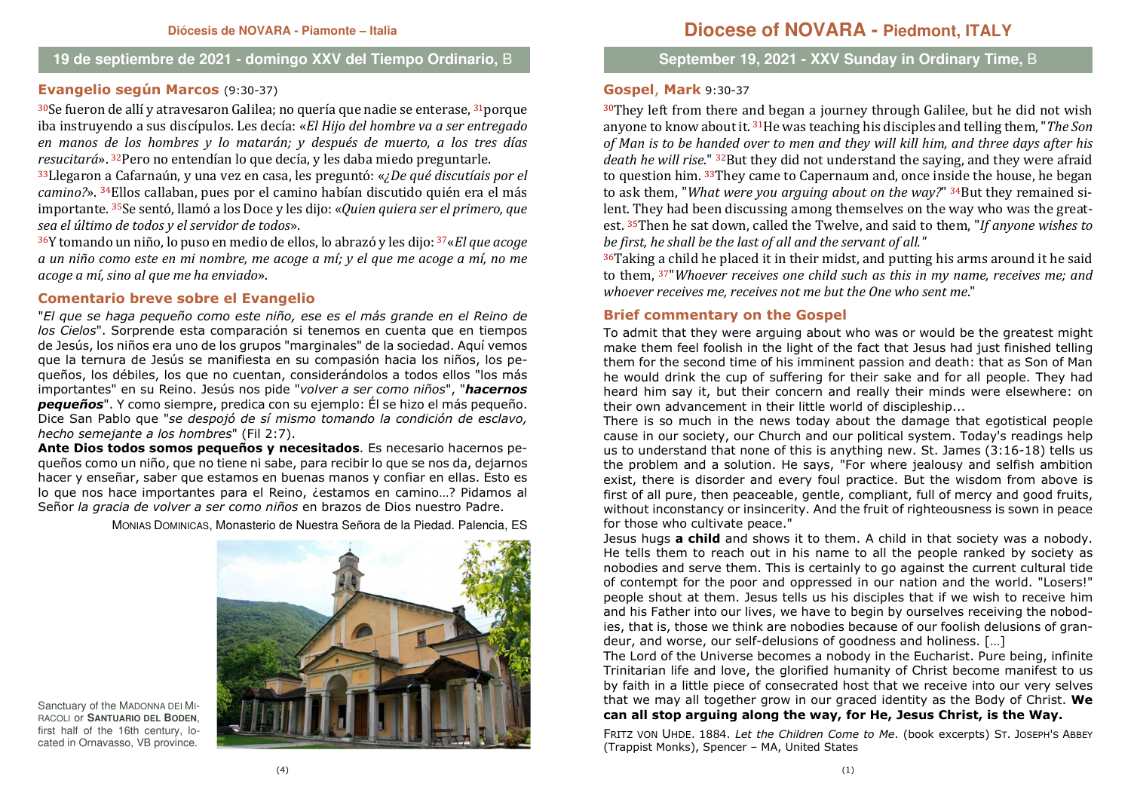#### **19 de septiembre de 2021 - domingo XXV del Tiempo Ordinario,** B

## **Evangelio según Marcos** (9:30-37)

<sup>30</sup>Se fueron de allí y atravesaron Galilea; no quería que nadie se enterase, <sup>31</sup>porque iba instruyendo a sus discípulos. Les decía: «*El Hijo del hombre va a ser entregado en manos de los hombres y lo matarán; y después de muerto, a los tres días resucitará*». <sup>32</sup>Pero no entendían lo que decía, y les daba miedo preguntarle.

 <sup>33</sup>Llegaron a Cafarnaún, y una vez en casa, les preguntó: «*¿De qué discutíais por el camino?*». <sup>34</sup>Ellos callaban, pues por el camino habían discutido quién era el más importante. 35Se sentó, llamó a los Doce y les dijo: «*Quien quiera ser el primero, que sea el último de todos y el servidor de todos*».

 <sup>36</sup>Y tomando un niño, lo puso en medio de ellos, lo abrazó y les dijo: <sup>37</sup>«*El que acoge a un niño como este en mi nombre, me acoge a mí; y el que me acoge a mí, no me acoge a mí, sino al que me ha enviado*».

### **Comentario breve sobre el Evangelio**

 "*El que se haga pequeño como este niño, ese es el más grande en el Reino de los Cielos*". Sorprende esta comparación si tenemos en cuenta que en tiempos de Jesús, los niños era uno de los grupos "marginales" de la sociedad. Aquí vemos que la ternura de Jesús se manifiesta en su compasión hacia los niños, los pequeños, los débiles, los que no cuentan, considerándolos a todos ellos "los más importantes" en su Reino. Jesús nos pide "*volver a ser como niños*", "*hacernos pequeños*". Y como siempre, predica con su ejemplo: Él se hizo el más pequeño. Dice San Pablo que "*se despojó de sí mismo tomando la condición de esclavo, hecho semejante a los hombres*" (Fil 2:7).

 **Ante Dios todos somos pequeños y necesitados**. Es necesario hacernos pequeños como un niño, que no tiene ni sabe, para recibir lo que se nos da, dejarnos hacer y enseñar, saber que estamos en buenas manos y confiar en ellas. Esto es lo que nos hace importantes para el Reino, ¿estamos en camino…? Pidamos al Señor *la gracia de volver a ser como niños* en brazos de Dios nuestro Padre.

MONIAS DOMINICAS, Monasterio de Nuestra Señora de la Piedad. Palencia, ES



Sanctuary of the MADONNA DEI MI- RACOLI or **SANTUARIO DEL BODEN**, first half of the 16th century, located in Ornavasso, VB province.

### **September 19, 2021 - XXV Sunday in Ordinary Time,** B

# **Gospel**, **Mark** 9:30-37

 $30$ They left from there and began a journey through Galilee, but he did not wish anyone to know about it. 31He was teaching his disciples and telling them, "*The Son of Man is to be handed over to men and they will kill him, and three days after his death he will rise*." 32But they did not understand the saying, and they were afraid to question him. <sup>33</sup>They came to Capernaum and, once inside the house, he began to ask them, "*What were you arguing about on the way?*" 34But they remained silent. They had been discussing among themselves on the way who was the greatest. <sup>35</sup>Then he sat down, called the Twelve, and said to them, "*If anyone wishes to be first, he shall be the last of all and the servant of all."*

<sup>36</sup>Taking a child he placed it in their midst, and putting his arms around it he said to them, 37"*Whoever receives one child such as this in my name, receives me; and whoever receives me, receives not me but the One who sent me*."

#### **Brief commentary on the Gospel**

 To admit that they were arguing about who was or would be the greatest might make them feel foolish in the light of the fact that Jesus had just finished telling them for the second time of his imminent passion and death: that as Son of Man he would drink the cup of suffering for their sake and for all people. They had heard him say it, but their concern and really their minds were elsewhere: on their own advancement in their little world of discipleship...

 There is so much in the news today about the damage that egotistical people cause in our society, our Church and our political system. Today's readings help us to understand that none of this is anything new. St. James (3:16-18) tells us the problem and a solution. He says, "For where jealousy and selfish ambition exist, there is disorder and every foul practice. But the wisdom from above is first of all pure, then peaceable, gentle, compliant, full of mercy and good fruits, without inconstancy or insincerity. And the fruit of righteousness is sown in peace for those who cultivate peace."

 Jesus hugs **a child** and shows it to them. A child in that society was a nobody. He tells them to reach out in his name to all the people ranked by society as nobodies and serve them. This is certainly to go against the current cultural tide of contempt for the poor and oppressed in our nation and the world. "Losers!" people shout at them. Jesus tells us his disciples that if we wish to receive him and his Father into our lives, we have to begin by ourselves receiving the nobodies, that is, those we think are nobodies because of our foolish delusions of grandeur, and worse, our self-delusions of goodness and holiness. […]

 The Lord of the Universe becomes a nobody in the Eucharist. Pure being, infinite Trinitarian life and love, the glorified humanity of Christ become manifest to us by faith in a little piece of consecrated host that we receive into our very selves that we may all together grow in our graced identity as the Body of Christ. **We can all stop arguing along the way, for He, Jesus Christ, is the Way.**

FRITZ VON UHDE. 1884. *Let the Children Come to Me*. (book excerpts) S<sup>T</sup>. <sup>J</sup>OSEPH'S ABBEY(Trappist Monks), Spencer – MA, United States